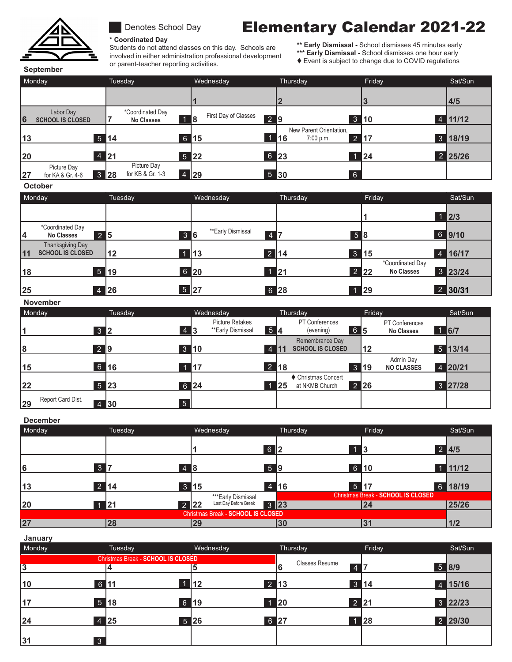

## Denotes School Day

**\* Coordinated Day**

Students do not attend classes on this day. Schools are involved in either administration professional development or parent-teacher reporting activities.

# Elementary Calendar 2021-22

**\*\* Early Dismissal -** School dismisses 45 minutes early

\*\*\* Early Dismissal - School dismisses one hour early  $\bullet$  Event is subject to change due to COVID regulations

**September**

| Monday |                                         | Tuesday    |                                       |                            | Wednesday                  |      | Thursday                                             |  | Friday | Sat/Sun        |
|--------|-----------------------------------------|------------|---------------------------------------|----------------------------|----------------------------|------|------------------------------------------------------|--|--------|----------------|
|        |                                         |            |                                       |                            |                            |      |                                                      |  |        | 4/5            |
| 6      | Labor Day<br><b>SCHOOL IS CLOSED</b>    |            | *Coordinated Day<br><b>No Classes</b> | 18                         | First Day of Classes<br>29 |      | 3                                                    |  | ▌10    | $4 \mid 11/12$ |
| 13     | $5 \vert 14$                            |            |                                       | 6 15                       |                            | 16   | New Parent Orientation,<br>7:00 p.m.<br>$\mathbf{2}$ |  | 17     | 3 18/19        |
| 20     | $\overline{4}$                          | <b>121</b> |                                       | $5 \overline{\smash{)}22}$ |                            | 6 23 |                                                      |  | 24     | 2 25/26        |
| 27     | Picture Day<br>3 28<br>for KA & Gr. 4-6 |            | Picture Day<br>for KB & Gr. 1-3       | 4 29                       |                            | 5 30 | 6                                                    |  |        |                |

### **October**

**November**

|    | Monday                                             | Tuesday | Wednesday                                 | Thursday | Friday                                                | Sat/Sun      |
|----|----------------------------------------------------|---------|-------------------------------------------|----------|-------------------------------------------------------|--------------|
|    |                                                    |         |                                           |          |                                                       | $\sqrt{2/3}$ |
| 14 | *Coordinated Day<br>$2\overline{5}$<br>No Classes  |         | **Early Dismissal<br>36<br>$\overline{4}$ | 58       |                                                       | 6 9/10       |
| 11 | <b>Thanksgiving Day</b><br><b>SCHOOL IS CLOSED</b> | 12      | 1   13                                    | 2 14     | 3 15                                                  | 4 16/17      |
| 18 |                                                    | 5 19    | 6 20                                      | 1 21     | *Coordinated Day<br>$2 \quad 22$<br><b>No Classes</b> | 3 23/24      |
| 25 |                                                    | 4 26    | 5 27                                      | 6 28     | $\parallel$ 29                                        | 2 30/31      |

| 11076111761<br>Monday   | Tuesday      | Wednesday                                         | Thursday                                         | Friday                                 | Sat/Sun      |
|-------------------------|--------------|---------------------------------------------------|--------------------------------------------------|----------------------------------------|--------------|
| $3 \mid 2$              | 4 3          | <b>Picture Retakes</b><br>54<br>**Early Dismissal | PT Conferences<br>65<br>(evening)                | <b>PT Conferences</b><br>No Classes    | $1$ 6/7      |
| 2 9<br>8                |              | $3 \vert 10$<br>4                                 | Remembrance Day<br><b>SCHOOL IS CLOSED</b><br>11 | 12                                     | $5 \, 13/14$ |
| $6\phantom{a}$<br>15    | 16           | $\blacksquare$ 17                                 | $2 \mid 18$                                      | Admin Day<br>3 19<br><b>NO CLASSES</b> | 4 20/21      |
| 22                      | $5 \vert 23$ | $6 \vert 24$                                      | ♦ Christmas Concert<br>at NKMB Church<br>125     | $2$ 26                                 | 3 27/28      |
| Report Card Dist.<br>29 | 5<br>4 30    |                                                   |                                                  |                                        |              |

#### **December** Monday Tuesday Wednesday Thursday Friday Sat/Sun **1 2 3 4/5 6 7 8 9 10 11/12 13 14 15 16 17 18/19 20 21 22 23 24 25/26 27 28 29 30 31 1/2 3** 7 2 14 4 8 3 15 6 2 59 4 16 13 6 10 5 17 1 11/12 2 4/5 \*\*\*Early Dismissal Last Day Before Break Christmas Break - **SCHOOL IS CLOSED** 6 18/19 Christmas Break - **SCHOOL IS CLOSED 1 21** 2 2 Last Day Before Break 3 23

| January        |              |                                    |              |                       |              |           |
|----------------|--------------|------------------------------------|--------------|-----------------------|--------------|-----------|
| Monday         |              | Tuesday                            | Wednesday    | Thursday              | Friday       | Sat/Sun   |
|                |              | Christmas Break - SCHOOL IS CLOSED |              | <b>Classes Resume</b> |              |           |
| $\overline{3}$ |              |                                    |              | $\overline{4}$        |              | $5$ 8/9   |
| 10             | 6 11         |                                    | $12 \,$      | $2 \mid 13$           | $3 \vert 14$ | $4$ 15/16 |
| 17             | $5 \vert 18$ | 6 19                               |              | <b>20</b>             | $2 \mid 21$  | 3 22/23   |
| 24             | 4 25         |                                    | $5 \vert 26$ | 6 27                  | <b>428</b>   | 2 29/30   |
| 31             | $\mathbf{3}$ |                                    |              |                       |              |           |